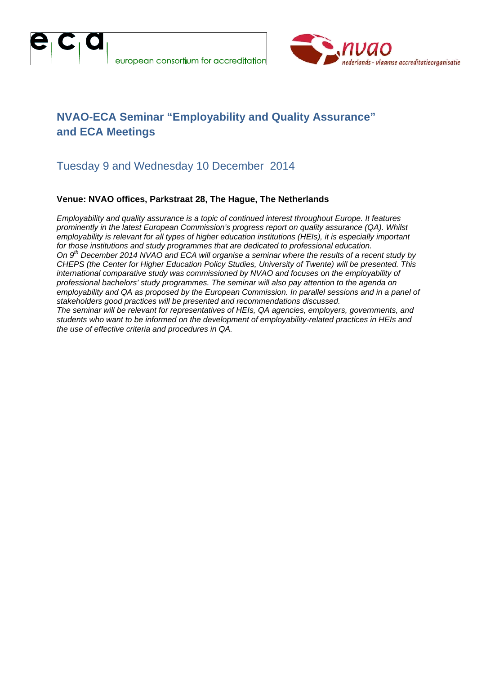



## **NVAO-ECA Seminar "Employability and Quality Assurance" and ECA Meetings**

#### Tuesday 9 and Wednesday 10 December 2014

#### **Venue: NVAO offices, Parkstraat 28, The Hague, The Netherlands**

*Employability and quality assurance is a topic of continued interest throughout Europe. It features prominently in the latest European Commission's progress report on quality assurance (QA). Whilst employability is relevant for all types of higher education institutions (HEIs), it is especially important for those institutions and study programmes that are dedicated to professional education. On 9th December 2014 NVAO and ECA will organise a seminar where the results of a recent study by CHEPS (the Center for Higher Education Policy Studies, University of Twente) will be presented. This international comparative study was commissioned by NVAO and focuses on the employability of professional bachelors' study programmes. The seminar will also pay attention to the agenda on employability and QA as proposed by the European Commission. In parallel sessions and in a panel of stakeholders good practices will be presented and recommendations discussed. The seminar will be relevant for representatives of HEIs, QA agencies, employers, governments, and students who want to be informed on the development of employability*‐*related practices in HEIs and the use of effective criteria and procedures in QA.*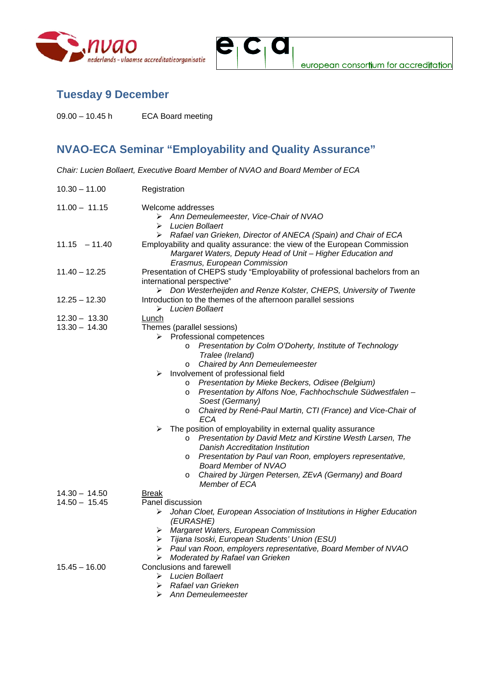



## **Tuesday 9 December**

09.00 – 10.45 h ECA Board meeting

# **NVAO-ECA Seminar "Employability and Quality Assurance"**

*Chair: Lucien Bollaert, Executive Board Member of NVAO and Board Member of ECA* 

| $10.30 - 11.00$ | Registration                                                                                                                                                                        |  |
|-----------------|-------------------------------------------------------------------------------------------------------------------------------------------------------------------------------------|--|
| $11.00 - 11.15$ | Welcome addresses<br>> Ann Demeulemeester, Vice-Chair of NVAO<br>Lucien Bollaert<br>⋗<br>Rafael van Grieken, Director of ANECA (Spain) and Chair of ECA<br>➤                        |  |
| $11.15 - 11.40$ | Employability and quality assurance: the view of the European Commission<br>Margaret Waters, Deputy Head of Unit - Higher Education and<br>Erasmus, European Commission             |  |
| $11.40 - 12.25$ | Presentation of CHEPS study "Employability of professional bachelors from an<br>international perspective"<br>Don Westerheijden and Renze Kolster, CHEPS, University of Twente<br>➤ |  |
| $12.25 - 12.30$ | Introduction to the themes of the afternoon parallel sessions<br>Lucien Bollaert<br>➤                                                                                               |  |
| $12.30 - 13.30$ | Lunch                                                                                                                                                                               |  |
| $13.30 - 14.30$ | Themes (parallel sessions)<br>$\triangleright$ Professional competences                                                                                                             |  |
|                 |                                                                                                                                                                                     |  |
|                 | Presentation by Colm O'Doherty, Institute of Technology<br>O<br>Tralee (Ireland)                                                                                                    |  |
|                 | Chaired by Ann Demeulemeester<br>$\circ$                                                                                                                                            |  |
|                 | $\triangleright$ Involvement of professional field                                                                                                                                  |  |
|                 | Presentation by Mieke Beckers, Odisee (Belgium)<br>$\circ$                                                                                                                          |  |
|                 | Presentation by Alfons Noe, Fachhochschule Südwestfalen -<br>$\circ$<br>Soest (Germany)                                                                                             |  |
|                 | Chaired by René-Paul Martin, CTI (France) and Vice-Chair of<br>$\circ$<br>ECA                                                                                                       |  |
|                 | $\triangleright$ The position of employability in external quality assurance                                                                                                        |  |
|                 | Presentation by David Metz and Kirstine Westh Larsen, The<br>$\circ$<br>Danish Accreditation Institution                                                                            |  |
|                 | Presentation by Paul van Roon, employers representative,<br>$\circ$                                                                                                                 |  |
|                 | <b>Board Member of NVAO</b><br>Chaired by Jürgen Petersen, ZEvA (Germany) and Board<br>O                                                                                            |  |
|                 | Member of ECA                                                                                                                                                                       |  |
| $14.30 - 14.50$ | <b>Break</b>                                                                                                                                                                        |  |
| $14.50 - 15.45$ | Panel discussion                                                                                                                                                                    |  |
|                 | Johan Cloet, European Association of Institutions in Higher Education<br>➤<br>(EURASHE)                                                                                             |  |
|                 | > Margaret Waters, European Commission                                                                                                                                              |  |
|                 | Tijana Isoski, European Students' Union (ESU)<br>➤                                                                                                                                  |  |
|                 | Paul van Roon, employers representative, Board Member of NVAO<br>➤                                                                                                                  |  |
|                 | Moderated by Rafael van Grieken<br>⋗                                                                                                                                                |  |
| $15.45 - 16.00$ | <b>Conclusions and farewell</b>                                                                                                                                                     |  |
|                 | <b>Lucien Bollaert</b><br>➤                                                                                                                                                         |  |
|                 | Rafael van Grieken<br>➤                                                                                                                                                             |  |
|                 | Ann Demeulemeester<br>⋗                                                                                                                                                             |  |
|                 |                                                                                                                                                                                     |  |